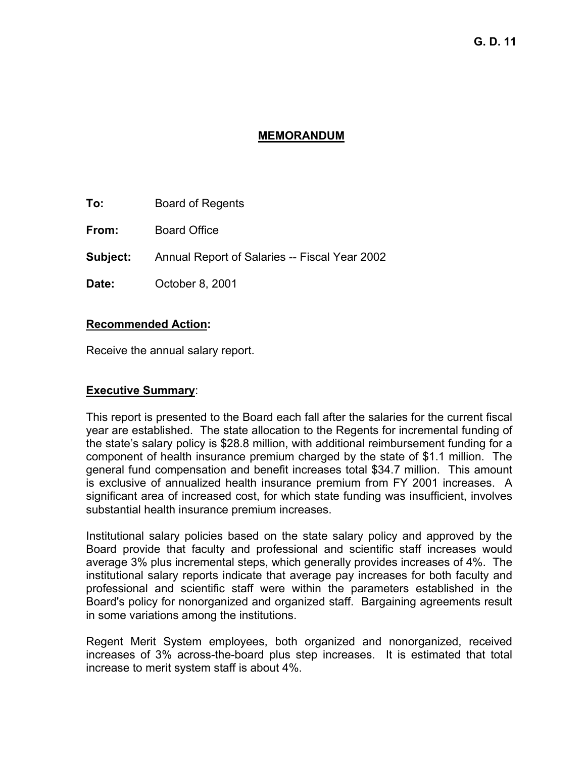# **MEMORANDUM**

**To:** Board of Regents

**From:** Board Office

**Subject:** Annual Report of Salaries -- Fiscal Year 2002

**Date:** October 8, 2001

#### **Recommended Action:**

Receive the annual salary report.

# **Executive Summary**:

This report is presented to the Board each fall after the salaries for the current fiscal year are established. The state allocation to the Regents for incremental funding of the state's salary policy is \$28.8 million, with additional reimbursement funding for a component of health insurance premium charged by the state of \$1.1 million. The general fund compensation and benefit increases total \$34.7 million. This amount is exclusive of annualized health insurance premium from FY 2001 increases. A significant area of increased cost, for which state funding was insufficient, involves substantial health insurance premium increases.

Institutional salary policies based on the state salary policy and approved by the Board provide that faculty and professional and scientific staff increases would average 3% plus incremental steps, which generally provides increases of 4%. The institutional salary reports indicate that average pay increases for both faculty and professional and scientific staff were within the parameters established in the Board's policy for nonorganized and organized staff. Bargaining agreements result in some variations among the institutions.

Regent Merit System employees, both organized and nonorganized, received increases of 3% across-the-board plus step increases. It is estimated that total increase to merit system staff is about 4%.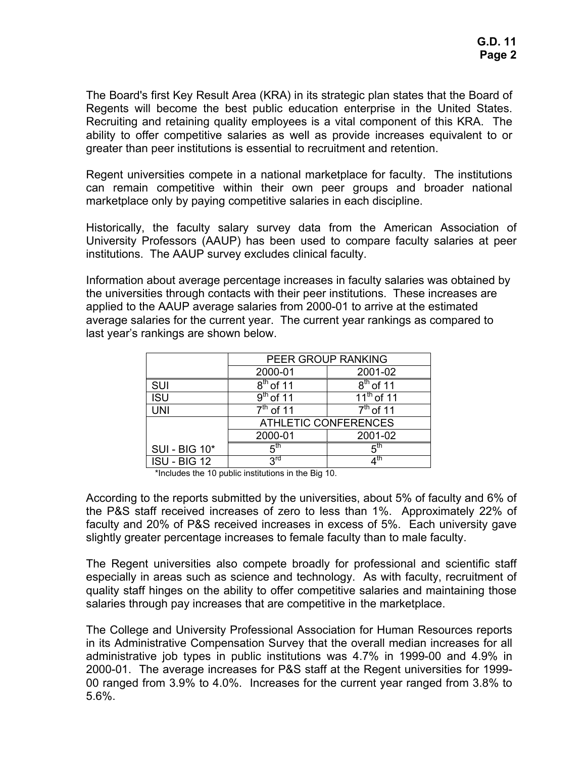The Board's first Key Result Area (KRA) in its strategic plan states that the Board of Regents will become the best public education enterprise in the United States. Recruiting and retaining quality employees is a vital component of this KRA. The ability to offer competitive salaries as well as provide increases equivalent to or greater than peer institutions is essential to recruitment and retention.

Regent universities compete in a national marketplace for faculty. The institutions can remain competitive within their own peer groups and broader national marketplace only by paying competitive salaries in each discipline.

Historically, the faculty salary survey data from the American Association of University Professors (AAUP) has been used to compare faculty salaries at peer institutions. The AAUP survey excludes clinical faculty.

Information about average percentage increases in faculty salaries was obtained by the universities through contacts with their peer institutions. These increases are applied to the AAUP average salaries from 2000-01 to arrive at the estimated average salaries for the current year. The current year rankings as compared to last year's rankings are shown below.

|                      | PEER GROUP RANKING               |                                         |  |  |
|----------------------|----------------------------------|-----------------------------------------|--|--|
|                      | 2000-01                          | 2001-02                                 |  |  |
| <b>SUI</b>           | $\overline{8}^{\text{th}}$ of 11 | $8th$ of 11                             |  |  |
| <b>ISU</b>           | $9th$ of 11                      | $\overline{11}$ <sup>th</sup> of 11     |  |  |
| <b>UNI</b>           | $7th$ of 11                      | $7th$ of 11                             |  |  |
|                      | <b>ATHLETIC CONFERENCES</b>      |                                         |  |  |
|                      | 2000-01                          | 2001-02                                 |  |  |
| <b>SUI - BIG 10*</b> | π <sup>th</sup>                  | հ <sup>th</sup>                         |  |  |
| ISU - BIG 12         | <b>PLC</b>                       | $\boldsymbol{\varLambda}^{\mathsf{th}}$ |  |  |

\*Includes the 10 public institutions in the Big 10.

According to the reports submitted by the universities, about 5% of faculty and 6% of the P&S staff received increases of zero to less than 1%. Approximately 22% of faculty and 20% of P&S received increases in excess of 5%. Each university gave slightly greater percentage increases to female faculty than to male faculty.

The Regent universities also compete broadly for professional and scientific staff especially in areas such as science and technology. As with faculty, recruitment of quality staff hinges on the ability to offer competitive salaries and maintaining those salaries through pay increases that are competitive in the marketplace.

The College and University Professional Association for Human Resources reports in its Administrative Compensation Survey that the overall median increases for all administrative job types in public institutions was 4.7% in 1999-00 and 4.9% in 2000-01. The average increases for P&S staff at the Regent universities for 1999- 00 ranged from 3.9% to 4.0%. Increases for the current year ranged from 3.8% to 5.6%.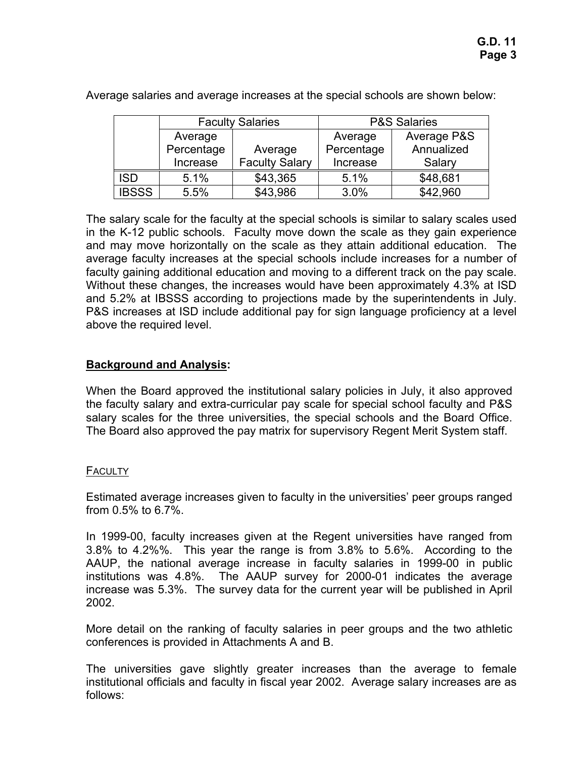|              | <b>Faculty Salaries</b> |                       | <b>P&amp;S Salaries</b> |             |
|--------------|-------------------------|-----------------------|-------------------------|-------------|
|              | Average                 |                       | Average                 | Average P&S |
|              | Percentage<br>Average   |                       | Percentage              | Annualized  |
|              | Increase                | <b>Faculty Salary</b> | Increase                | Salary      |
| <b>ISD</b>   | 5.1%                    | \$43,365              | 5.1%                    | \$48,681    |
| <b>IBSSS</b> | 5.5%                    | \$43,986              | 3.0%                    | \$42,960    |

Average salaries and average increases at the special schools are shown below:

The salary scale for the faculty at the special schools is similar to salary scales used in the K-12 public schools. Faculty move down the scale as they gain experience and may move horizontally on the scale as they attain additional education. The average faculty increases at the special schools include increases for a number of faculty gaining additional education and moving to a different track on the pay scale. Without these changes, the increases would have been approximately 4.3% at ISD and 5.2% at IBSSS according to projections made by the superintendents in July. P&S increases at ISD include additional pay for sign language proficiency at a level above the required level.

# **Background and Analysis:**

When the Board approved the institutional salary policies in July, it also approved the faculty salary and extra-curricular pay scale for special school faculty and P&S salary scales for the three universities, the special schools and the Board Office. The Board also approved the pay matrix for supervisory Regent Merit System staff.

# **FACULTY**

Estimated average increases given to faculty in the universities' peer groups ranged from 0.5% to 6.7%.

In 1999-00, faculty increases given at the Regent universities have ranged from 3.8% to 4.2%%. This year the range is from 3.8% to 5.6%. According to the AAUP, the national average increase in faculty salaries in 1999-00 in public institutions was 4.8%. The AAUP survey for 2000-01 indicates the average increase was 5.3%. The survey data for the current year will be published in April 2002.

More detail on the ranking of faculty salaries in peer groups and the two athletic conferences is provided in Attachments A and B.

The universities gave slightly greater increases than the average to female institutional officials and faculty in fiscal year 2002. Average salary increases are as follows: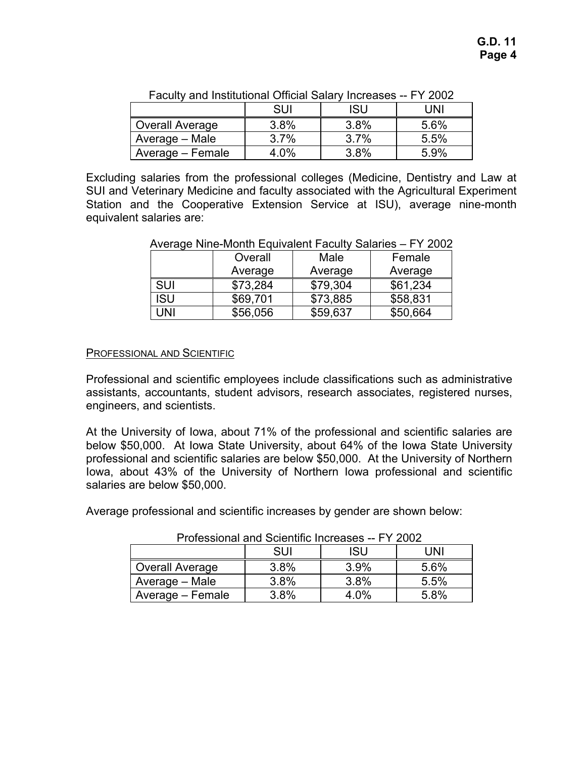|                        | SUI     | isu     | JNI  |
|------------------------|---------|---------|------|
| <b>Overall Average</b> | $3.8\%$ | 3.8%    | 5.6% |
| Average - Male         | 3.7%    | 3.7%    | 5.5% |
| Average – Female       | 4.0%    | $3.8\%$ | 5.9% |

Faculty and Institutional Official Salary Increases -- FY 2002

Excluding salaries from the professional colleges (Medicine, Dentistry and Law at SUI and Veterinary Medicine and faculty associated with the Agricultural Experiment Station and the Cooperative Extension Service at ISU), average nine-month equivalent salaries are:

Average Nine-Month Equivalent Faculty Salaries – FY 2002

|            | Overall  | Male     | Female   |
|------------|----------|----------|----------|
|            | Average  | Average  | Average  |
| <b>SUI</b> | \$73,284 | \$79,304 | \$61,234 |
| <b>ISU</b> | \$69,701 | \$73,885 | \$58,831 |
| UNI        | \$56,056 | \$59,637 | \$50,664 |

#### PROFESSIONAL AND SCIENTIFIC

Professional and scientific employees include classifications such as administrative assistants, accountants, student advisors, research associates, registered nurses, engineers, and scientists.

At the University of Iowa, about 71% of the professional and scientific salaries are below \$50,000. At Iowa State University, about 64% of the Iowa State University professional and scientific salaries are below \$50,000. At the University of Northern Iowa, about 43% of the University of Northern Iowa professional and scientific salaries are below \$50,000.

Average professional and scientific increases by gender are shown below:

| ו דטוכסטוטוומו מחס טטוכחמווט וווטוכסטט<br>1 LUUL |      |         |      |  |  |
|--------------------------------------------------|------|---------|------|--|--|
|                                                  | SUI  | ISU     | JNI  |  |  |
| <b>Overall Average</b>                           | 3.8% | $3.9\%$ | 5.6% |  |  |
| Average - Male                                   | 3.8% | 3.8%    | 5.5% |  |  |
| Average – Female                                 | 3.8% | $4.0\%$ | 5.8% |  |  |

Professional and Scientific Increases -- FY 2002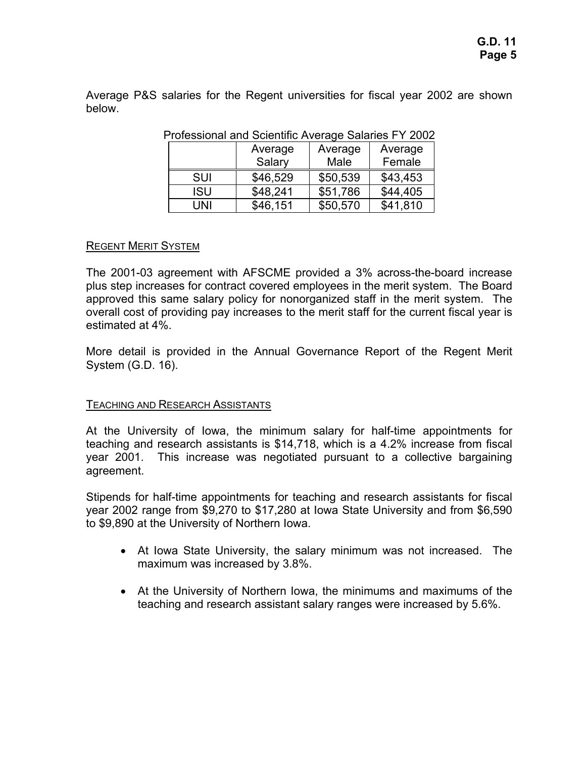Average P&S salaries for the Regent universities for fiscal year 2002 are shown below.

|            | Average  | Average  | Average  |  |  |
|------------|----------|----------|----------|--|--|
|            | Salary   | Male     | Female   |  |  |
| <b>SUI</b> | \$46,529 | \$50,539 | \$43,453 |  |  |
| ISU        | \$48,241 | \$51,786 | \$44,405 |  |  |
| UNI        | \$46,151 | \$50,570 | \$41,810 |  |  |

Professional and Scientific Average Salaries FY 2002

# REGENT MERIT SYSTEM

The 2001-03 agreement with AFSCME provided a 3% across-the-board increase plus step increases for contract covered employees in the merit system. The Board approved this same salary policy for nonorganized staff in the merit system. The overall cost of providing pay increases to the merit staff for the current fiscal year is estimated at 4%.

More detail is provided in the Annual Governance Report of the Regent Merit System (G.D. 16).

# TEACHING AND RESEARCH ASSISTANTS

At the University of Iowa, the minimum salary for half-time appointments for teaching and research assistants is \$14,718, which is a 4.2% increase from fiscal year 2001. This increase was negotiated pursuant to a collective bargaining agreement.

Stipends for half-time appointments for teaching and research assistants for fiscal year 2002 range from \$9,270 to \$17,280 at Iowa State University and from \$6,590 to \$9,890 at the University of Northern Iowa.

- At Iowa State University, the salary minimum was not increased. The maximum was increased by 3.8%.
- At the University of Northern Iowa, the minimums and maximums of the teaching and research assistant salary ranges were increased by 5.6%.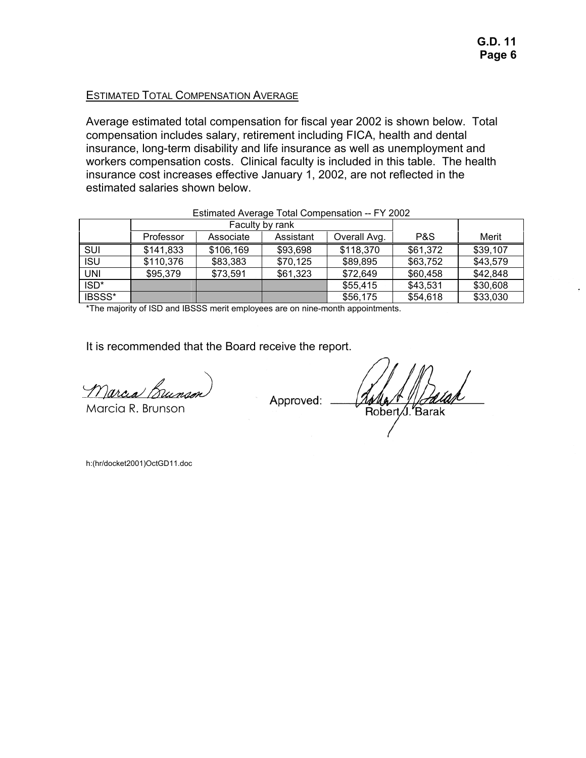#### ESTIMATED TOTAL COMPENSATION AVERAGE

Average estimated total compensation for fiscal year 2002 is shown below. Total compensation includes salary, retirement including FICA, health and dental insurance, long-term disability and life insurance as well as unemployment and workers compensation costs. Clinical faculty is included in this table. The health insurance cost increases effective January 1, 2002, are not reflected in the estimated salaries shown below.

|            | Faculty by rank |           |           |              |          |          |
|------------|-----------------|-----------|-----------|--------------|----------|----------|
|            | Professor       | Associate | Assistant | Overall Avg. | P&S      | Merit    |
| SUI        | \$141,833       | \$106,169 | \$93,698  | \$118,370    | \$61,372 | \$39,107 |
| <b>ISU</b> | \$110,376       | \$83,383  | \$70,125  | \$89,895     | \$63,752 | \$43,579 |
| <b>UNI</b> | \$95,379        | \$73,591  | \$61,323  | \$72,649     | \$60,458 | \$42,848 |
| ISD*       |                 |           |           | \$55,415     | \$43,531 | \$30,608 |
| IBSSS*     |                 |           |           | \$56,175     | \$54,618 | \$33,030 |

Estimated Average Total Compensation -- FY 2002

\*The majority of ISD and IBSSS merit employees are on nine-month appointments.

It is recommended that the Board receive the report.

Marcia Br

Marcia R. Brunson

Approved:

Robert J. Barak

h:(hr/docket2001)OctGD11.doc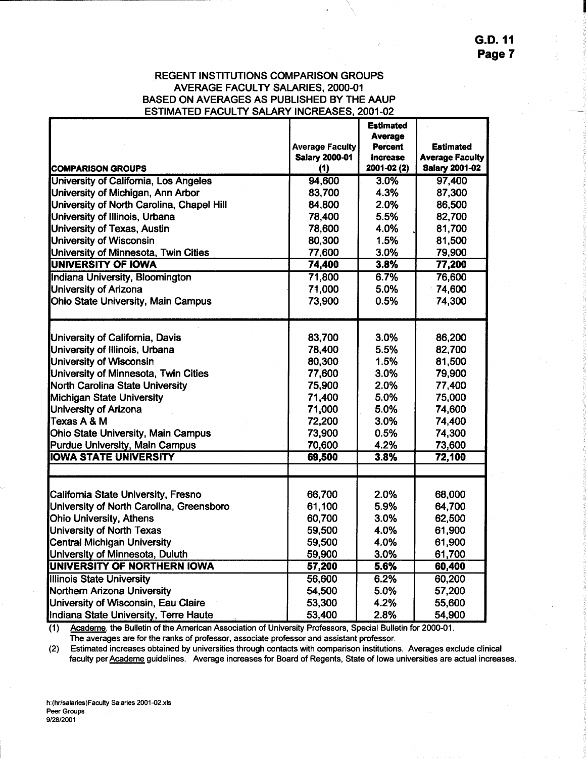**G.D. 11** Page 7

#### **REGENT INSTITUTIONS COMPARISON GROUPS AVERAGE FACULTY SALARIES, 2000-01** BASED ON AVERAGES AS PUBLISHED BY THE AAUP **ESTIMATED FACULTY SALARY INCREASES, 2001-02**

|                                                                       |                        | <b>Estimated</b> |                                                 |
|-----------------------------------------------------------------------|------------------------|------------------|-------------------------------------------------|
|                                                                       |                        | <b>Average</b>   |                                                 |
|                                                                       | <b>Average Faculty</b> | <b>Percent</b>   | <b>Estimated</b>                                |
|                                                                       | <b>Salary 2000-01</b>  | <b>Increase</b>  | <b>Average Faculty</b><br><b>Salary 2001-02</b> |
| <b>COMPARISON GROUPS</b>                                              | (1)                    | 2001-02 (2)      |                                                 |
| University of California, Los Angeles                                 | 94,600                 | 3.0%             | 97,400                                          |
| University of Michigan, Ann Arbor                                     | 83,700                 | 4.3%             | 87,300                                          |
| University of North Carolina, Chapel Hill                             | 84,800                 | 2.0%             | 86,500                                          |
| University of Illinois, Urbana                                        | 78,400                 | 5.5%             | 82,700                                          |
| University of Texas, Austin                                           | 78,600                 | 4.0%             | 81,700                                          |
| University of Wisconsin                                               | 80,300                 | 1.5%             | 81,500                                          |
| University of Minnesota, Twin Cities                                  | 77,600                 | 3.0%             | 79,900                                          |
| <b>UNIVERSITY OF IOWA</b>                                             | 74,400                 | 3.8%             | 77,200                                          |
| Indiana University, Bloomington                                       | 71,800                 | 6.7%             | 76,600                                          |
| University of Arizona                                                 | 71,000                 | 5.0%             | 74,600                                          |
| Ohio State University, Main Campus                                    | 73,900                 | 0.5%             | 74,300                                          |
| University of California, Davis                                       | 83,700                 | 3.0%             | 86,200                                          |
| University of Illinois, Urbana                                        | 78,400                 | 5.5%             | 82,700                                          |
| University of Wisconsin                                               | 80,300                 | 1.5%             | 81,500                                          |
| University of Minnesota, Twin Cities                                  | 77,600                 | 3.0%             | 79,900                                          |
| North Carolina State University                                       | 75,900                 | 2.0%             | 77,400                                          |
| Michigan State University                                             | 71,400                 | 5.0%             | 75,000                                          |
| University of Arizona                                                 | 71,000                 | 5.0%             | 74,600                                          |
| Texas A & M                                                           |                        | 3.0%             |                                                 |
|                                                                       | 72,200<br>73,900       | 0.5%             | 74,400<br>74,300                                |
| Ohio State University, Main Campus                                    |                        | 4.2%             |                                                 |
| <b>Purdue University, Main Campus</b><br><b>IOWA STATE UNIVERSITY</b> | 70,600<br>69,500       | 3.8%             | 73,600<br>72,100                                |
|                                                                       |                        |                  |                                                 |
| California State University, Fresno                                   | 66,700                 | 2.0%             | 68,000                                          |
| University of North Carolina, Greensboro                              | 61,100                 | 5.9%             | 64,700                                          |
| Ohio University, Athens                                               | 60,700                 | 3.0%             | 62,500                                          |
| University of North Texas                                             | 59,500                 | 4.0%             | 61,900                                          |
| <b>Central Michigan University</b>                                    | 59,500                 | 4.0%             | 61,900                                          |
| University of Minnesota, Duluth                                       | 59,900                 | 3.0%             | 61,700                                          |
| <b>UNIVERSITY OF NORTHERN IOWA</b>                                    | 57,200                 | 5.6%             | 60,400                                          |
| <b>Illinois State University</b>                                      | 56,600                 | 6.2%             | 60,200                                          |
| <b>Northern Arizona University</b>                                    | 54,500                 | 5.0%             | 57,200                                          |
| University of Wisconsin, Eau Claire                                   | 53,300                 | 4.2%             | 55,600                                          |
| Indiana State University, Terre Haute                                 | 53,400                 | 2.8%             | 54,900                                          |

Academe, the Bulletin of the American Association of University Professors, Special Bulletin for 2000-01.  $(1)$ The averages are for the ranks of professor, associate professor and assistant professor.

Estimated increases obtained by universities through contacts with comparison institutions. Averages exclude clinical  $(2)$ faculty per Academe guidelines. Average increases for Board of Regents, State of Iowa universities are actual increases.

h:(hr/salaries)Faculty Salaries 2001-02.xls Peer Groups 9/28/2001